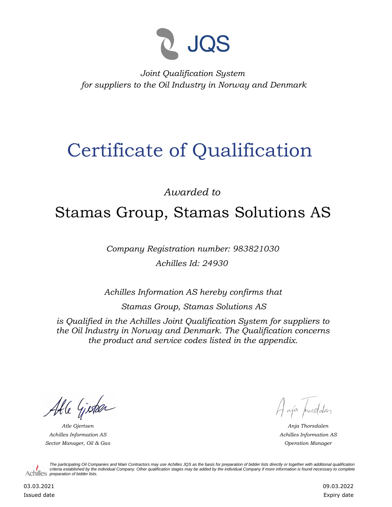

*Joint Qualification System for suppliers to the Oil Industry in Norway and Denmark*

## Certificate of Qualification

*Awarded to*

## Stamas Group, Stamas Solutions AS

*Company Registration number: 983821030 Achilles Id: 24930*

*Achilles Information AS hereby confirms that*

*Stamas Group, Stamas Solutions AS*

*is Qualified in the Achilles Joint Qualification System for suppliers to the Oil Industry in Norway and Denmark. The Qualification concerns the product and service codes listed in the appendix.*

Able Gisteen

*Achilles Information AS Sector Manager, Oil & Gas Operation Manager*

Haja procedater

*Atle Gjertsen Anja Thorsdalen Achilles Information AS*

*The participating Oil Companies and Main Contractors may use Achilles JQS as the basis for preparation of bidder lists directly or together with additional qualification criteria established by the individual Company. Other qualification stages may be added by the individual Company if more information is found necessary to complete*  Achilles *preparation of bidder lists*.

03.03.2021 Issued date